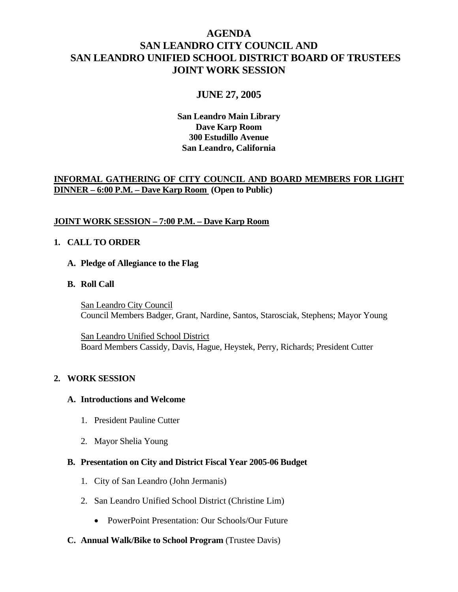# **AGENDA SAN LEANDRO CITY COUNCIL AND SAN LEANDRO UNIFIED SCHOOL DISTRICT BOARD OF TRUSTEES JOINT WORK SESSION**

# **JUNE 27, 2005**

**San Leandro Main Library Dave Karp Room 300 Estudillo Avenue San Leandro, California** 

# **INFORMAL GATHERING OF CITY COUNCIL AND BOARD MEMBERS FOR LIGHT DINNER – 6:00 P.M. – Dave Karp Room (Open to Public)**

# **JOINT WORK SESSION – 7:00 P.M. – Dave Karp Room**

#### **1. CALL TO ORDER**

#### **A. Pledge of Allegiance to the Flag**

 **B. Roll Call**

 San Leandro City Council Council Members Badger, Grant, Nardine, Santos, Starosciak, Stephens; Mayor Young

 San Leandro Unified School District Board Members Cassidy, Davis, Hague, Heystek, Perry, Richards; President Cutter

## **2. WORK SESSION**

#### **A. Introductions and Welcome**

- 1. President Pauline Cutter
- 2. Mayor Shelia Young

#### **B. Presentation on City and District Fiscal Year 2005-06 Budget**

- 1. City of San Leandro (John Jermanis)
- 2. San Leandro Unified School District (Christine Lim)
	- PowerPoint Presentation: Our Schools/Our Future
- **C. Annual Walk/Bike to School Program** (Trustee Davis)